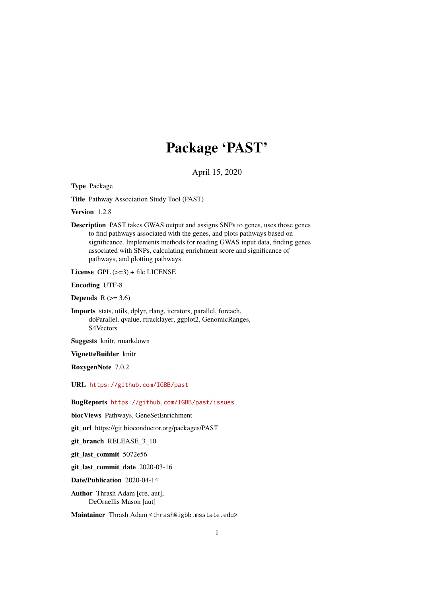## Package 'PAST'

April 15, 2020

Type Package

Title Pathway Association Study Tool (PAST)

Version 1.2.8

Description PAST takes GWAS output and assigns SNPs to genes, uses those genes to find pathways associated with the genes, and plots pathways based on significance. Implements methods for reading GWAS input data, finding genes associated with SNPs, calculating enrichment score and significance of pathways, and plotting pathways.

License GPL (>=3) + file LICENSE

Encoding UTF-8

**Depends**  $R$  ( $>= 3.6$ )

Imports stats, utils, dplyr, rlang, iterators, parallel, foreach, doParallel, qvalue, rtracklayer, ggplot2, GenomicRanges, S4Vectors

Suggests knitr, rmarkdown

VignetteBuilder knitr

RoxygenNote 7.0.2

URL <https://github.com/IGBB/past>

BugReports <https://github.com/IGBB/past/issues>

biocViews Pathways, GeneSetEnrichment

git\_url https://git.bioconductor.org/packages/PAST

git branch RELEASE 3 10

git\_last\_commit 5072e56

git\_last\_commit\_date 2020-03-16

Date/Publication 2020-04-14

Author Thrash Adam [cre, aut], DeOrnellis Mason [aut]

Maintainer Thrash Adam <thrash@igbb.msstate.edu>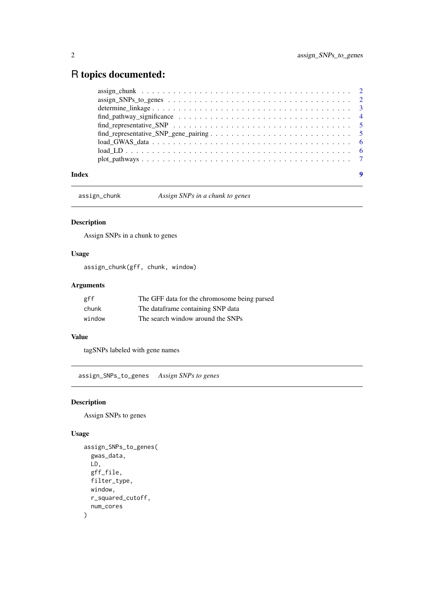### <span id="page-1-0"></span>R topics documented:

|       | $assign\_chunk \dots \dots \dots \dots \dots \dots \dots \dots \dots \dots \dots \dots \dots \dots \dots \dots \dots \dots$ |  |
|-------|-----------------------------------------------------------------------------------------------------------------------------|--|
|       |                                                                                                                             |  |
|       |                                                                                                                             |  |
|       |                                                                                                                             |  |
|       |                                                                                                                             |  |
|       |                                                                                                                             |  |
|       |                                                                                                                             |  |
|       |                                                                                                                             |  |
|       | $plot\_pathways \ldots \ldots \ldots \ldots \ldots \ldots \ldots \ldots \ldots \ldots \ldots \ldots \ldots 7$               |  |
| Index |                                                                                                                             |  |

assign\_chunk *Assign SNPs in a chunk to genes*

#### Description

Assign SNPs in a chunk to genes

#### Usage

assign\_chunk(gff, chunk, window)

#### Arguments

| gff    | The GFF data for the chromosome being parsed |
|--------|----------------------------------------------|
| chunk  | The dataframe containing SNP data            |
| window | The search window around the SNPs            |

#### Value

tagSNPs labeled with gene names

assign\_SNPs\_to\_genes *Assign SNPs to genes*

#### Description

Assign SNPs to genes

#### Usage

```
assign_SNPs_to_genes(
  gwas_data,
  LD,
  gff_file,
  filter_type,
  window,
  r_squared_cutoff,
  num_cores
)
```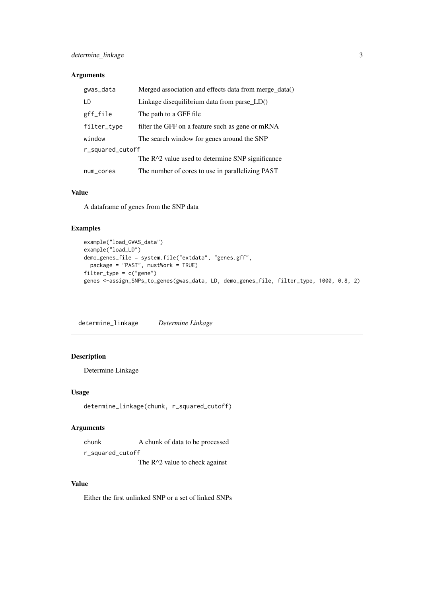#### <span id="page-2-0"></span>Arguments

| gwas_data        | Merged association and effects data from merge_data() |  |  |  |  |
|------------------|-------------------------------------------------------|--|--|--|--|
| I D              | Linkage disequilibrium data from parse $LD()$         |  |  |  |  |
| gff_file         | The path to a GFF file                                |  |  |  |  |
| filter_type      | filter the GFF on a feature such as gene or mRNA      |  |  |  |  |
| window           | The search window for genes around the SNP            |  |  |  |  |
| r_squared_cutoff |                                                       |  |  |  |  |
|                  | The $R^2$ value used to determine SNP significance    |  |  |  |  |
| num_cores        | The number of cores to use in parallelizing PAST      |  |  |  |  |

#### Value

A dataframe of genes from the SNP data

#### Examples

```
example("load_GWAS_data")
example("load_LD")
demo_genes_file = system.file("extdata", "genes.gff",
  package = "PAST", mustWork = TRUE)
filter_type = c("gene")
genes <-assign_SNPs_to_genes(gwas_data, LD, demo_genes_file, filter_type, 1000, 0.8, 2)
```
determine\_linkage *Determine Linkage*

#### Description

Determine Linkage

#### Usage

```
determine_linkage(chunk, r_squared_cutoff)
```
#### Arguments

chunk A chunk of data to be processed r\_squared\_cutoff

The R^2 value to check against

#### Value

Either the first unlinked SNP or a set of linked SNPs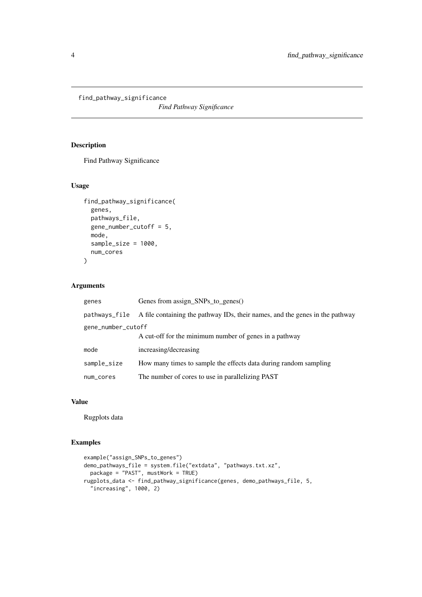<span id="page-3-0"></span>find\_pathway\_significance

*Find Pathway Significance*

#### Description

Find Pathway Significance

#### Usage

```
find_pathway_significance(
  genes,
  pathways_file,
  gene_number_cutoff = 5,
  mode,
  sample_size = 1000,
  num_cores
\lambda
```
#### Arguments

| genes              | Genes from assign_SNPs_to_genes()                                            |  |  |  |  |
|--------------------|------------------------------------------------------------------------------|--|--|--|--|
| pathways_file      | A file containing the pathway IDs, their names, and the genes in the pathway |  |  |  |  |
| gene_number_cutoff |                                                                              |  |  |  |  |
|                    | A cut-off for the minimum number of genes in a pathway                       |  |  |  |  |
| mode               | increasing/decreasing                                                        |  |  |  |  |
| sample_size        | How many times to sample the effects data during random sampling             |  |  |  |  |
| num_cores          | The number of cores to use in parallelizing PAST                             |  |  |  |  |

#### Value

Rugplots data

#### Examples

```
example("assign_SNPs_to_genes")
demo_pathways_file = system.file("extdata", "pathways.txt.xz",
  package = "PAST", mustWork = TRUE)
rugplots_data <- find_pathway_significance(genes, demo_pathways_file, 5,
  "increasing", 1000, 2)
```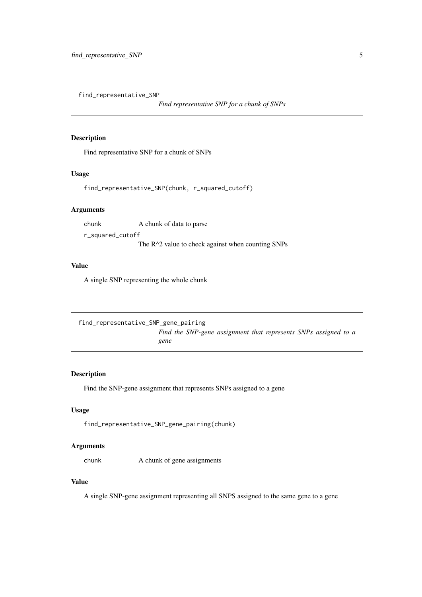<span id="page-4-0"></span>find\_representative\_SNP

*Find representative SNP for a chunk of SNPs*

#### Description

Find representative SNP for a chunk of SNPs

#### Usage

find\_representative\_SNP(chunk, r\_squared\_cutoff)

#### Arguments

chunk A chunk of data to parse r\_squared\_cutoff

The R<sup>^2</sup> value to check against when counting SNPs

#### Value

A single SNP representing the whole chunk

find\_representative\_SNP\_gene\_pairing *Find the SNP-gene assignment that represents SNPs assigned to a gene*

#### Description

Find the SNP-gene assignment that represents SNPs assigned to a gene

#### Usage

find\_representative\_SNP\_gene\_pairing(chunk)

#### Arguments

chunk A chunk of gene assignments

#### Value

A single SNP-gene assignment representing all SNPS assigned to the same gene to a gene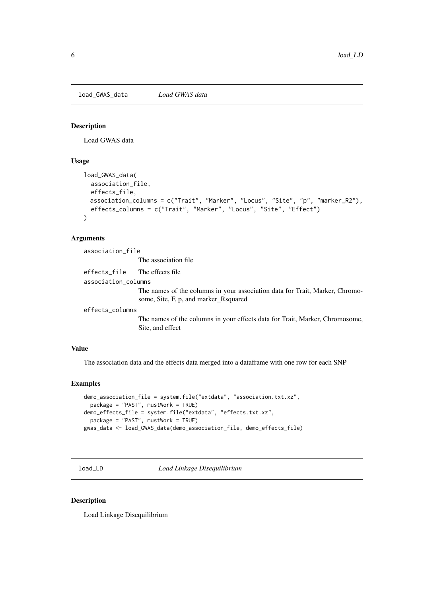<span id="page-5-0"></span>load\_GWAS\_data *Load GWAS data*

#### Description

Load GWAS data

#### Usage

```
load_GWAS_data(
 association_file,
 effects_file,
 association_columns = c("Trait", "Marker", "Locus", "Site", "p", "marker_R2"),
 effects_columns = c("Trait", "Marker", "Locus", "Site", "Effect")
)
```
#### Arguments

association\_file

The association file

effects\_file The effects file association\_columns

> The names of the columns in your association data for Trait, Marker, Chromosome, Site, F, p, and marker\_Rsquared

effects\_columns

The names of the columns in your effects data for Trait, Marker, Chromosome, Site, and effect

#### Value

The association data and the effects data merged into a dataframe with one row for each SNP

#### Examples

```
demo_association_file = system.file("extdata", "association.txt.xz",
  package = "PAST", mustWork = TRUE)
demo_effects_file = system.file("extdata", "effects.txt.xz",
 package = "PAST", mustWork = TRUE)
gwas_data <- load_GWAS_data(demo_association_file, demo_effects_file)
```
load\_LD *Load Linkage Disequilibrium*

#### Description

Load Linkage Disequilibrium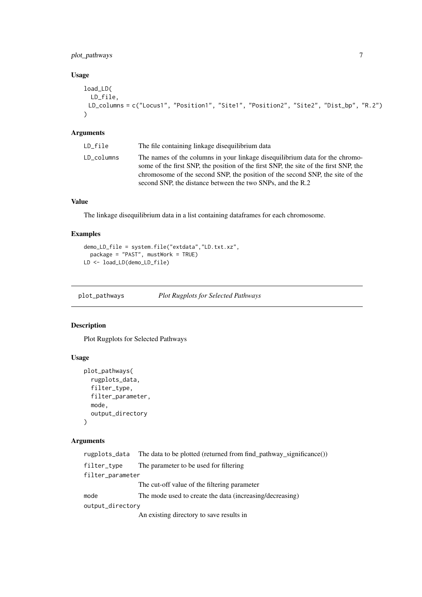#### <span id="page-6-0"></span>plot\_pathways 7

#### Usage

```
load_LD(
  LD_file,
 LD_columns = c("Locus1", "Position1", "Site1", "Position2", "Site2", "Dist_bp", "R.2")
\lambda
```
#### Arguments

| LD file    | The file containing linkage disequilibrium data                                                                                                                                                                                                                                                                     |
|------------|---------------------------------------------------------------------------------------------------------------------------------------------------------------------------------------------------------------------------------------------------------------------------------------------------------------------|
| LD columns | The names of the columns in your linkage disequilibrium data for the chromo-<br>some of the first SNP, the position of the first SNP, the site of the first SNP, the<br>chromosome of the second SNP, the position of the second SNP, the site of the<br>second SNP, the distance between the two SNPs, and the R.2 |

#### Value

The linkage disequilibrium data in a list containing dataframes for each chromosome.

#### Examples

```
demo_LD_file = system.file("extdata","LD.txt.xz",
 package = "PAST", mustWork = TRUE)
LD <- load_LD(demo_LD_file)
```
plot\_pathways *Plot Rugplots for Selected Pathways*

#### Description

Plot Rugplots for Selected Pathways

#### Usage

```
plot_pathways(
  rugplots_data,
  filter_type,
  filter_parameter,
  mode,
  output_directory
\lambda
```
#### Arguments

```
rugplots_data The data to be plotted (returned from find_pathway_significance())
filter_type The parameter to be used for filtering
filter_parameter
                 The cut-off value of the filtering parameter
mode The mode used to create the data (increasing/decreasing)
output_directory
                 An existing directory to save results in
```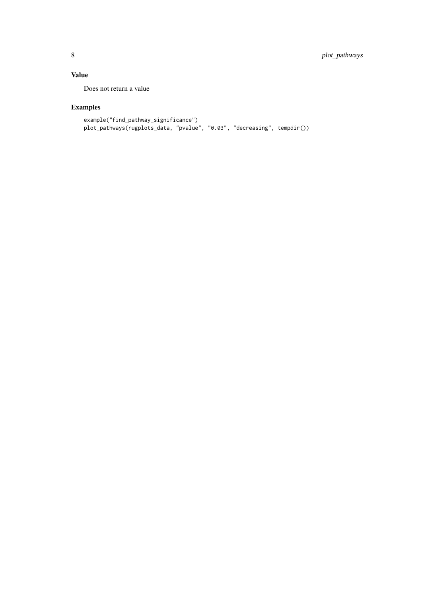#### Value

Does not return a value

#### Examples

```
example("find_pathway_significance")
plot_pathways(rugplots_data, "pvalue", "0.03", "decreasing", tempdir())
```